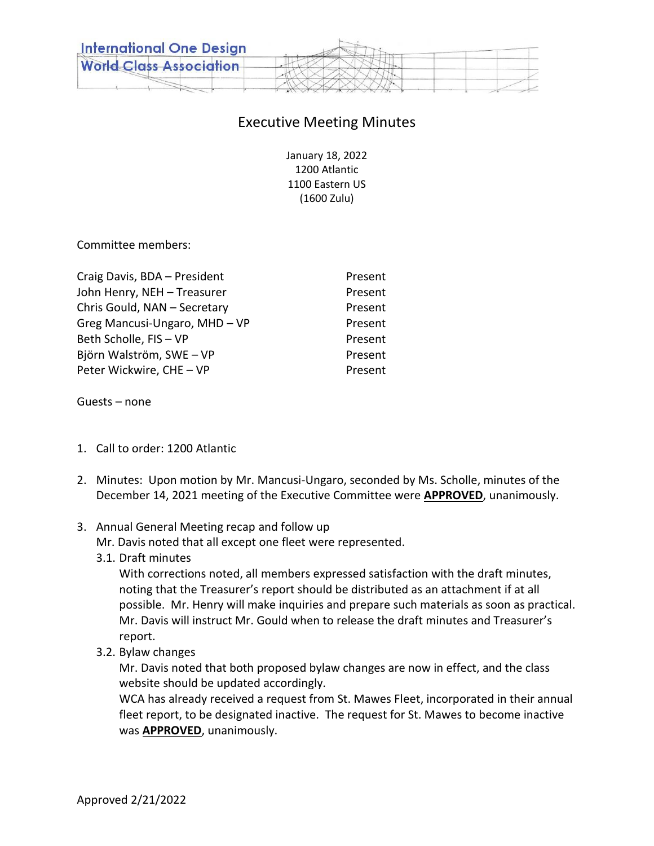

# Executive Meeting Minutes

January 18, 2022 1200 Atlantic 1100 Eastern US (1600 Zulu)

Committee members:

| Craig Davis, BDA - President  | Present |
|-------------------------------|---------|
| John Henry, NEH - Treasurer   | Present |
| Chris Gould, NAN - Secretary  | Present |
| Greg Mancusi-Ungaro, MHD - VP | Present |
| Beth Scholle, FIS - VP        | Present |
| Björn Walström, SWE - VP      | Present |
| Peter Wickwire, CHE - VP      | Present |

Guests – none

- 1. Call to order: 1200 Atlantic
- 2. Minutes: Upon motion by Mr. Mancusi-Ungaro, seconded by Ms. Scholle, minutes of the December 14, 2021 meeting of the Executive Committee were **APPROVED**, unanimously.
- 3. Annual General Meeting recap and follow up
	- Mr. Davis noted that all except one fleet were represented.
	- 3.1. Draft minutes

With corrections noted, all members expressed satisfaction with the draft minutes, noting that the Treasurer's report should be distributed as an attachment if at all possible. Mr. Henry will make inquiries and prepare such materials as soon as practical. Mr. Davis will instruct Mr. Gould when to release the draft minutes and Treasurer's report.

3.2. Bylaw changes

Mr. Davis noted that both proposed bylaw changes are now in effect, and the class website should be updated accordingly.

WCA has already received a request from St. Mawes Fleet, incorporated in their annual fleet report, to be designated inactive. The request for St. Mawes to become inactive was **APPROVED**, unanimously.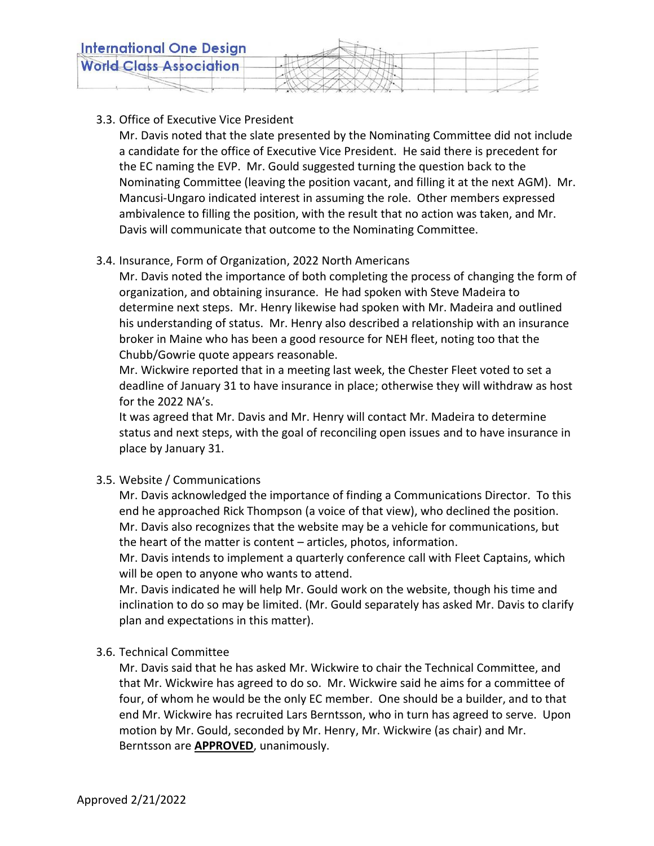

## 3.3. Office of Executive Vice President

Mr. Davis noted that the slate presented by the Nominating Committee did not include a candidate for the office of Executive Vice President. He said there is precedent for the EC naming the EVP. Mr. Gould suggested turning the question back to the Nominating Committee (leaving the position vacant, and filling it at the next AGM). Mr. Mancusi-Ungaro indicated interest in assuming the role. Other members expressed ambivalence to filling the position, with the result that no action was taken, and Mr. Davis will communicate that outcome to the Nominating Committee.

## 3.4. Insurance, Form of Organization, 2022 North Americans

Mr. Davis noted the importance of both completing the process of changing the form of organization, and obtaining insurance. He had spoken with Steve Madeira to determine next steps. Mr. Henry likewise had spoken with Mr. Madeira and outlined his understanding of status. Mr. Henry also described a relationship with an insurance broker in Maine who has been a good resource for NEH fleet, noting too that the Chubb/Gowrie quote appears reasonable.

Mr. Wickwire reported that in a meeting last week, the Chester Fleet voted to set a deadline of January 31 to have insurance in place; otherwise they will withdraw as host for the 2022 NA's.

It was agreed that Mr. Davis and Mr. Henry will contact Mr. Madeira to determine status and next steps, with the goal of reconciling open issues and to have insurance in place by January 31.

3.5. Website / Communications

Mr. Davis acknowledged the importance of finding a Communications Director. To this end he approached Rick Thompson (a voice of that view), who declined the position. Mr. Davis also recognizes that the website may be a vehicle for communications, but the heart of the matter is content – articles, photos, information.

Mr. Davis intends to implement a quarterly conference call with Fleet Captains, which will be open to anyone who wants to attend.

Mr. Davis indicated he will help Mr. Gould work on the website, though his time and inclination to do so may be limited. (Mr. Gould separately has asked Mr. Davis to clarify plan and expectations in this matter).

## 3.6. Technical Committee

Mr. Davis said that he has asked Mr. Wickwire to chair the Technical Committee, and that Mr. Wickwire has agreed to do so. Mr. Wickwire said he aims for a committee of four, of whom he would be the only EC member. One should be a builder, and to that end Mr. Wickwire has recruited Lars Berntsson, who in turn has agreed to serve. Upon motion by Mr. Gould, seconded by Mr. Henry, Mr. Wickwire (as chair) and Mr. Berntsson are **APPROVED**, unanimously.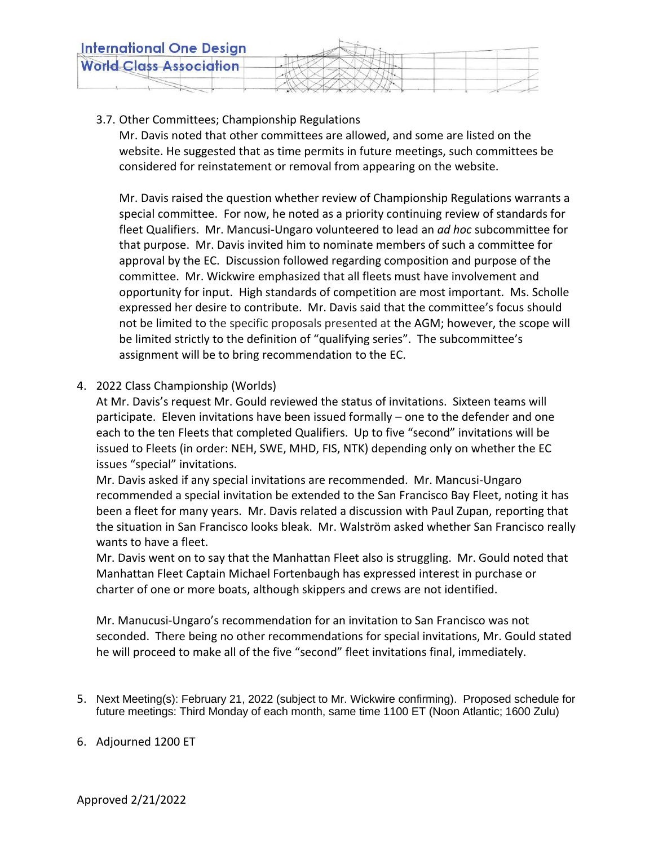

## 3.7. Other Committees; Championship Regulations

Mr. Davis noted that other committees are allowed, and some are listed on the website. He suggested that as time permits in future meetings, such committees be considered for reinstatement or removal from appearing on the website.

Mr. Davis raised the question whether review of Championship Regulations warrants a special committee. For now, he noted as a priority continuing review of standards for fleet Qualifiers. Mr. Mancusi-Ungaro volunteered to lead an *ad hoc* subcommittee for that purpose. Mr. Davis invited him to nominate members of such a committee for approval by the EC. Discussion followed regarding composition and purpose of the committee. Mr. Wickwire emphasized that all fleets must have involvement and opportunity for input. High standards of competition are most important. Ms. Scholle expressed her desire to contribute. Mr. Davis said that the committee's focus should not be limited to the specific proposals presented at the AGM; however, the scope will be limited strictly to the definition of "qualifying series". The subcommittee's assignment will be to bring recommendation to the EC.

## 4. 2022 Class Championship (Worlds)

At Mr. Davis's request Mr. Gould reviewed the status of invitations. Sixteen teams will participate. Eleven invitations have been issued formally – one to the defender and one each to the ten Fleets that completed Qualifiers. Up to five "second" invitations will be issued to Fleets (in order: NEH, SWE, MHD, FIS, NTK) depending only on whether the EC issues "special" invitations.

Mr. Davis asked if any special invitations are recommended. Mr. Mancusi-Ungaro recommended a special invitation be extended to the San Francisco Bay Fleet, noting it has been a fleet for many years. Mr. Davis related a discussion with Paul Zupan, reporting that the situation in San Francisco looks bleak. Mr. Walström asked whether San Francisco really wants to have a fleet.

Mr. Davis went on to say that the Manhattan Fleet also is struggling. Mr. Gould noted that Manhattan Fleet Captain Michael Fortenbaugh has expressed interest in purchase or charter of one or more boats, although skippers and crews are not identified.

Mr. Manucusi-Ungaro's recommendation for an invitation to San Francisco was not seconded. There being no other recommendations for special invitations, Mr. Gould stated he will proceed to make all of the five "second" fleet invitations final, immediately.

5. Next Meeting(s): February 21, 2022 (subject to Mr. Wickwire confirming). Proposed schedule for future meetings: Third Monday of each month, same time 1100 ET (Noon Atlantic; 1600 Zulu)

#### 6. Adjourned 1200 ET